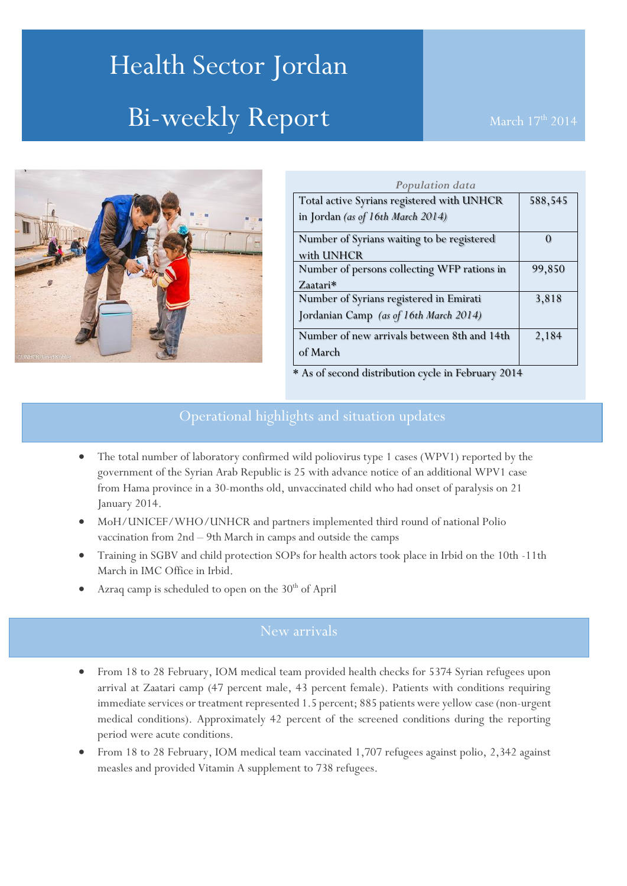# Health Sector Jordan Bi-weekly Report



| Population data                                    |         |
|----------------------------------------------------|---------|
| Total active Syrians registered with UNHCR         | 588,545 |
| in Jordan (as of 16th March 2014)                  |         |
| Number of Syrians waiting to be registered         | 0       |
| with UNHCR                                         |         |
| Number of persons collecting WFP rations in        | 99,850  |
| Zaatari*                                           |         |
| Number of Syrians registered in Emirati            | 3,818   |
| Jordanian Camp (as of 16th March 2014)             |         |
| Number of new arrivals between 8th and 14th        | 2,184   |
| of March                                           |         |
| * As of second distribution cycle in February 2014 |         |

# Operational highlights and situation updates

- The total number of laboratory confirmed wild poliovirus type 1 cases (WPV1) reported by the government of the Syrian Arab Republic is 25 with advance notice of an additional WPV1 case from Hama province in a 30-months old, unvaccinated child who had onset of paralysis on 21 January 2014.
- MoH/UNICEF/WHO/UNHCR and partners implemented third round of national Polio vaccination from 2nd – 9th March in camps and outside the camps
- Training in SGBV and child protection SOPs for health actors took place in Irbid on the 10th -11th March in IMC Office in Irbid.
- Azraq camp is scheduled to open on the  $30<sup>th</sup>$  of April

- From 18 to 28 February, IOM medical team provided health checks for 5374 Syrian refugees upon arrival at Zaatari camp (47 percent male, 43 percent female). Patients with conditions requiring immediate services or treatment represented 1.5 percent; 885 patients were yellow case (non-urgent medical conditions). Approximately 42 percent of the screened conditions during the reporting period were acute conditions.
- From 18 to 28 February, IOM medical team vaccinated 1,707 refugees against polio, 2,342 against measles and provided Vitamin A supplement to 738 refugees.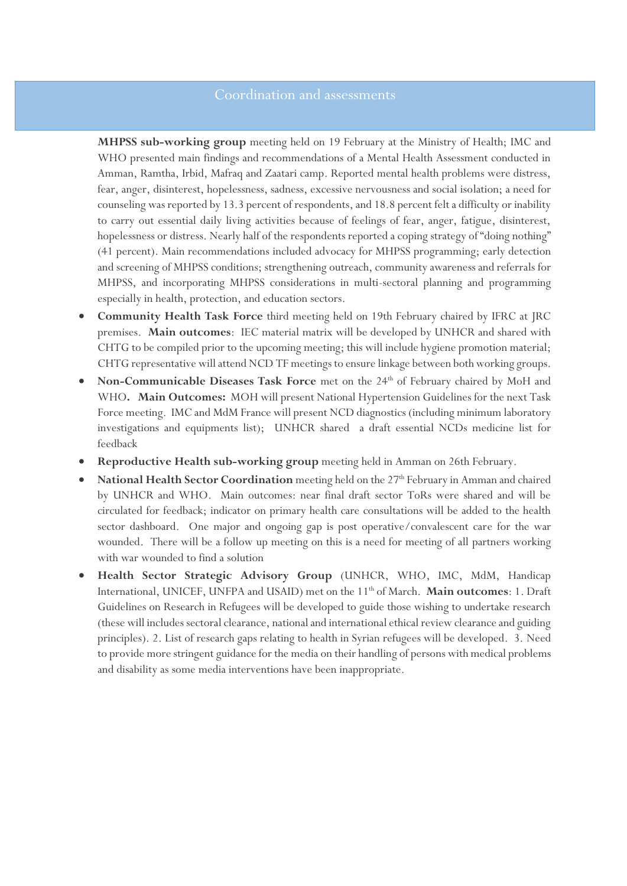**MHPSS sub-working group** meeting held on 19 February at the Ministry of Health; IMC and WHO presented main findings and recommendations of a Mental Health Assessment conducted in Amman, Ramtha, Irbid, Mafraq and Zaatari camp. Reported mental health problems were distress, fear, anger, disinterest, hopelessness, sadness, excessive nervousness and social isolation; a need for counseling was reported by 13.3 percent of respondents, and 18.8 percent felt a difficulty or inability to carry out essential daily living activities because of feelings of fear, anger, fatigue, disinterest, hopelessness or distress. Nearly half of the respondents reported a coping strategy of "doing nothing" (41 percent). Main recommendations included advocacy for MHPSS programming; early detection and screening of MHPSS conditions; strengthening outreach, community awareness and referrals for MHPSS, and incorporating MHPSS considerations in multi-sectoral planning and programming especially in health, protection, and education sectors.

- **Community Health Task Force** third meeting held on 19th February chaired by IFRC at JRC premises. **Main outcomes**: IEC material matrix will be developed by UNHCR and shared with CHTG to be compiled prior to the upcoming meeting; this will include hygiene promotion material; CHTG representative will attend NCD TF meetings to ensure linkage between both working groups.
- **Non-Communicable Diseases Task Force** met on the 24<sup>th</sup> of February chaired by MoH and WHO**. Main Outcomes:** MOH will present National Hypertension Guidelines for the next Task Force meeting. IMC and MdM France will present NCD diagnostics (including minimum laboratory investigations and equipments list); UNHCR shared a draft essential NCDs medicine list for feedback
- **Reproductive Health sub-working group** meeting held in Amman on 26th February.
- National Health Sector Coordination meeting held on the 27<sup>th</sup> February in Amman and chaired by UNHCR and WHO. Main outcomes: near final draft sector ToRs were shared and will be circulated for feedback; indicator on primary health care consultations will be added to the health sector dashboard. One major and ongoing gap is post operative/convalescent care for the war wounded. There will be a follow up meeting on this is a need for meeting of all partners working with war wounded to find a solution
- **Health Sector Strategic Advisory Group** (UNHCR, WHO, IMC, MdM, Handicap International, UNICEF, UNFPA and USAID) met on the 11th of March. **Main outcomes**: 1. Draft Guidelines on Research in Refugees will be developed to guide those wishing to undertake research (these will includes sectoral clearance, national and international ethical review clearance and guiding principles). 2. List of research gaps relating to health in Syrian refugees will be developed. 3. Need to provide more stringent guidance for the media on their handling of persons with medical problems and disability as some media interventions have been inappropriate.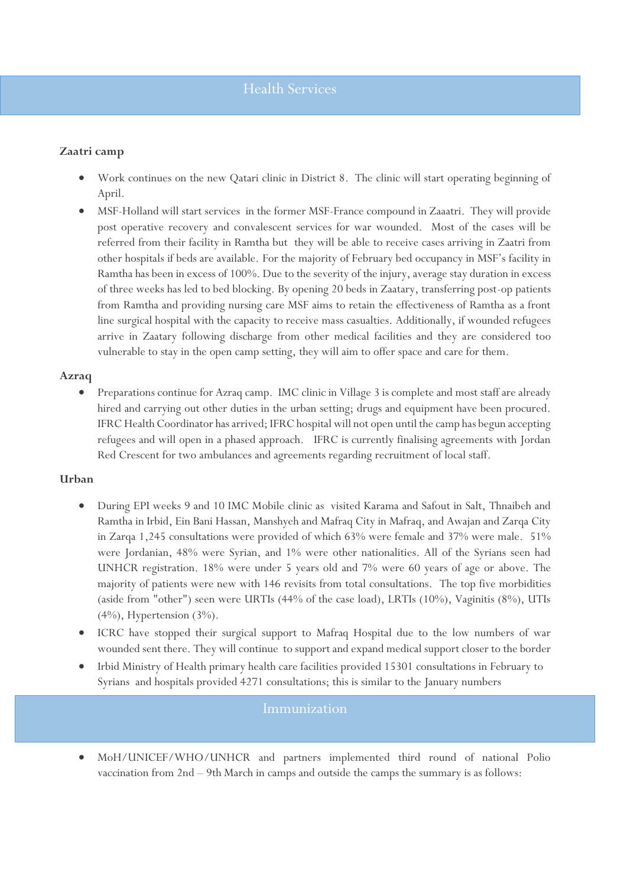### **Zaatri camp**

- Work continues on the new Qatari clinic in District 8. The clinic will start operating beginning of April.
- MSF-Holland will start services in the former MSF-France compound in Zaaatri. They will provide post operative recovery and convalescent services for war wounded. Most of the cases will be referred from their facility in Ramtha but they will be able to receive cases arriving in Zaatri from other hospitals if beds are available. For the majority of February bed occupancy in MSF's facility in Ramtha has been in excess of 100%. Due to the severity of the injury, average stay duration in excess of three weeks has led to bed blocking. By opening 20 beds in Zaatary, transferring post-op patients from Ramtha and providing nursing care MSF aims to retain the effectiveness of Ramtha as a front line surgical hospital with the capacity to receive mass casualties. Additionally, if wounded refugees arrive in Zaatary following discharge from other medical facilities and they are considered too vulnerable to stay in the open camp setting, they will aim to offer space and care for them.

#### **Azraq**

 Preparations continue for Azraq camp. IMC clinic in Village 3 is complete and most staff are already hired and carrying out other duties in the urban setting; drugs and equipment have been procured. IFRC Health Coordinator has arrived; IFRC hospital will not open until the camp has begun accepting refugees and will open in a phased approach. IFRC is currently finalising agreements with Jordan Red Crescent for two ambulances and agreements regarding recruitment of local staff.

#### **Urban**

- During EPI weeks 9 and 10 IMC Mobile clinic as visited Karama and Safout in Salt, Thnaibeh and Ramtha in Irbid, Ein Bani Hassan, Manshyeh and Mafraq City in Mafraq, and Awajan and Zarqa City in Zarqa 1,245 consultations were provided of which 63% were female and 37% were male. 51% were Jordanian, 48% were Syrian, and 1% were other nationalities. All of the Syrians seen had UNHCR registration. 18% were under 5 years old and 7% were 60 years of age or above. The majority of patients were new with 146 revisits from total consultations. The top five morbidities (aside from "other") seen were URTIs (44% of the case load), LRTIs (10%), Vaginitis (8%), UTIs  $(4\%)$ , Hypertension  $(3\%)$ .
- ICRC have stopped their surgical support to Mafraq Hospital due to the low numbers of war wounded sent there. They will continue to support and expand medical support closer to the border
- Irbid Ministry of Health primary health care facilities provided 15301 consultations in February to Syrians and hospitals provided 4271 consultations; this is similar to the January numbers

#### Immunization

 MoH/UNICEF/WHO/UNHCR and partners implemented third round of national Polio vaccination from 2nd – 9th March in camps and outside the camps the summary is as follows: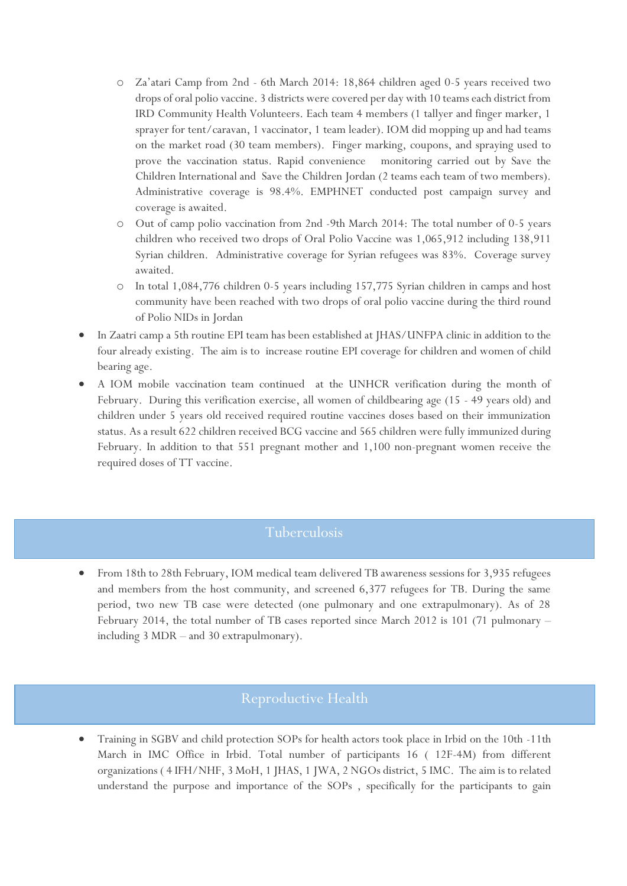- o Za'atari Camp from 2nd 6th March 2014: 18,864 children aged 0-5 years received two drops of oral polio vaccine. 3 districts were covered per day with 10 teams each district from IRD Community Health Volunteers. Each team 4 members (1 tallyer and finger marker, 1 sprayer for tent/caravan, 1 vaccinator, 1 team leader). IOM did mopping up and had teams on the market road (30 team members). Finger marking, coupons, and spraying used to prove the vaccination status. Rapid convenience monitoring carried out by Save the Children International and Save the Children Jordan (2 teams each team of two members). Administrative coverage is 98.4%. EMPHNET conducted post campaign survey and coverage is awaited.
- o Out of camp polio vaccination from 2nd -9th March 2014: The total number of 0-5 years children who received two drops of Oral Polio Vaccine was 1,065,912 including 138,911 Syrian children. Administrative coverage for Syrian refugees was 83%. Coverage survey awaited.
- o In total 1,084,776 children 0-5 years including 157,775 Syrian children in camps and host community have been reached with two drops of oral polio vaccine during the third round of Polio NIDs in Jordan
- In Zaatri camp a 5th routine EPI team has been established at JHAS/UNFPA clinic in addition to the four already existing. The aim is to increase routine EPI coverage for children and women of child bearing age.
- A IOM mobile vaccination team continued at the UNHCR verification during the month of February. During this verification exercise, all women of childbearing age (15 - 49 years old) and children under 5 years old received required routine vaccines doses based on their immunization status. As a result 622 children received BCG vaccine and 565 children were fully immunized during February. In addition to that 551 pregnant mother and 1,100 non-pregnant women receive the required doses of TT vaccine.

## Tuberculosis

 From 18th to 28th February, IOM medical team delivered TB awareness sessions for 3,935 refugees and members from the host community, and screened 6,377 refugees for TB. During the same period, two new TB case were detected (one pulmonary and one extrapulmonary). As of 28 February 2014, the total number of TB cases reported since March 2012 is 101 (71 pulmonary – including 3 MDR – and 30 extrapulmonary).

## Reproductive Health

 Training in SGBV and child protection SOPs for health actors took place in Irbid on the 10th -11th March in IMC Office in Irbid. Total number of participants 16 ( 12F-4M) from different organizations ( 4 IFH/NHF, 3 MoH, 1 JHAS, 1 JWA, 2 NGOs district, 5 IMC. The aim is to related understand the purpose and importance of the SOPs , specifically for the participants to gain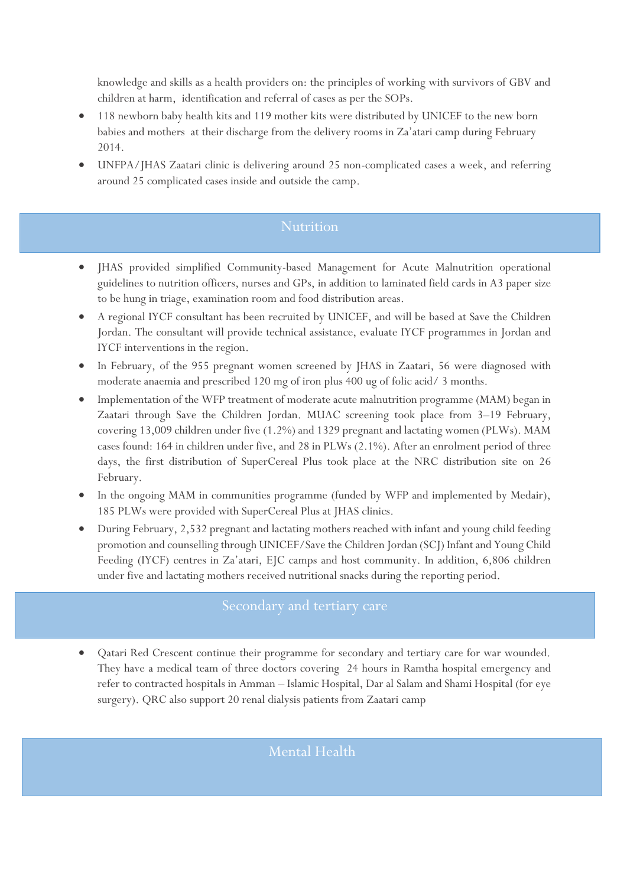knowledge and skills as a health providers on: the principles of working with survivors of GBV and children at harm, identification and referral of cases as per the SOPs.

- 118 newborn baby health kits and 119 mother kits were distributed by UNICEF to the new born babies and mothers at their discharge from the delivery rooms in Za'atari camp during February 2014.
- UNFPA/JHAS Zaatari clinic is delivering around 25 non-complicated cases a week, and referring around 25 complicated cases inside and outside the camp.

## **Nutrition**

- JHAS provided simplified Community-based Management for Acute Malnutrition operational guidelines to nutrition officers, nurses and GPs, in addition to laminated field cards in A3 paper size to be hung in triage, examination room and food distribution areas.
- A regional IYCF consultant has been recruited by UNICEF, and will be based at Save the Children Jordan. The consultant will provide technical assistance, evaluate IYCF programmes in Jordan and IYCF interventions in the region.
- In February, of the 955 pregnant women screened by JHAS in Zaatari, 56 were diagnosed with moderate anaemia and prescribed 120 mg of iron plus 400 ug of folic acid/ 3 months.
- Implementation of the WFP treatment of moderate acute malnutrition programme (MAM) began in Zaatari through Save the Children Jordan. MUAC screening took place from 3–19 February, covering 13,009 children under five (1.2%) and 1329 pregnant and lactating women (PLWs). MAM cases found: 164 in children under five, and 28 in PLWs (2.1%). After an enrolment period of three days, the first distribution of SuperCereal Plus took place at the NRC distribution site on 26 February.
- In the ongoing MAM in communities programme (funded by WFP and implemented by Medair), 185 PLWs were provided with SuperCereal Plus at JHAS clinics.
- During February, 2,532 pregnant and lactating mothers reached with infant and young child feeding promotion and counselling through UNICEF/Save the Children Jordan (SCJ) Infant and Young Child Feeding (IYCF) centres in Za'atari, EJC camps and host community. In addition, 6,806 children under five and lactating mothers received nutritional snacks during the reporting period.

 Qatari Red Crescent continue their programme for secondary and tertiary care for war wounded. They have a medical team of three doctors covering 24 hours in Ramtha hospital emergency and refer to contracted hospitals in Amman – Islamic Hospital, Dar al Salam and Shami Hospital (for eye surgery). QRC also support 20 renal dialysis patients from Zaatari camp